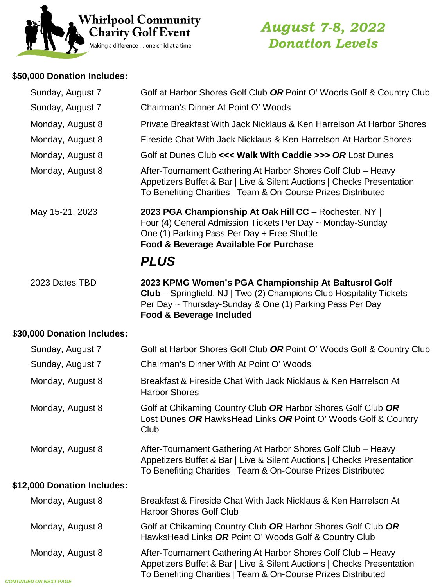

# *August 7-8, 2022 Donation Levels*

# \$**50,000 Donation Includes:**

| Sunday, August 7            | Golf at Harbor Shores Golf Club OR Point O' Woods Golf & Country Club                                                                                                                                               |
|-----------------------------|---------------------------------------------------------------------------------------------------------------------------------------------------------------------------------------------------------------------|
| Sunday, August 7            | Chairman's Dinner At Point O' Woods                                                                                                                                                                                 |
| Monday, August 8            | Private Breakfast With Jack Nicklaus & Ken Harrelson At Harbor Shores                                                                                                                                               |
| Monday, August 8            | Fireside Chat With Jack Nicklaus & Ken Harrelson At Harbor Shores                                                                                                                                                   |
| Monday, August 8            | Golf at Dunes Club <<< Walk With Caddie >>> OR Lost Dunes                                                                                                                                                           |
| Monday, August 8            | After-Tournament Gathering At Harbor Shores Golf Club - Heavy<br>Appetizers Buffet & Bar   Live & Silent Auctions   Checks Presentation<br>To Benefiting Charities   Team & On-Course Prizes Distributed            |
| May 15-21, 2023             | 2023 PGA Championship At Oak Hill CC - Rochester, NY  <br>Four (4) General Admission Tickets Per Day ~ Monday-Sunday<br>One (1) Parking Pass Per Day + Free Shuttle<br>Food & Beverage Available For Purchase       |
|                             | <b>PLUS</b>                                                                                                                                                                                                         |
| 2023 Dates TBD              | 2023 KPMG Women's PGA Championship At Baltusrol Golf<br>Club - Springfield, NJ   Two (2) Champions Club Hospitality Tickets<br>Per Day ~ Thursday-Sunday & One (1) Parking Pass Per Day<br>Food & Beverage Included |
| \$30,000 Donation Includes: |                                                                                                                                                                                                                     |
| Sunday, August 7            | Golf at Harbor Shores Golf Club OR Point O' Woods Golf & Country Club                                                                                                                                               |
| Sunday, August 7            | Chairman's Dinner With At Point O' Woods                                                                                                                                                                            |
| Monday, August 8            | Breakfast & Fireside Chat With Jack Nicklaus & Ken Harrelson At<br><b>Harbor Shores</b>                                                                                                                             |
| Monday, August 8            | Golf at Chikaming Country Club OR Harbor Shores Golf Club OR<br>Lost Dunes OR HawksHead Links OR Point O' Woods Golf & Country<br>Club                                                                              |
| Monday, August 8            | After-Tournament Gathering At Harbor Shores Golf Club - Heavy<br>Appetizers Buffet & Bar   Live & Silent Auctions   Checks Presentation<br>To Benefiting Charities   Team & On-Course Prizes Distributed            |
| \$12,000 Donation Includes: |                                                                                                                                                                                                                     |
| Monday, August 8            | Breakfast & Fireside Chat With Jack Nicklaus & Ken Harrelson At<br><b>Harbor Shores Golf Club</b>                                                                                                                   |
| Monday, August 8            | Golf at Chikaming Country Club OR Harbor Shores Golf Club OR<br>HawksHead Links OR Point O' Woods Golf & Country Club                                                                                               |
| Monday, August 8            | After-Tournament Gathering At Harbor Shores Golf Club - Heavy<br>Appetizers Buffet & Bar   Live & Silent Auctions   Checks Presentation<br>To Benefiting Charities   Team & On-Course Prizes Distributed            |